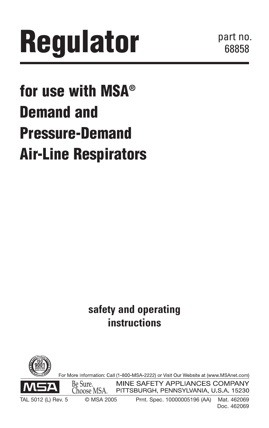# **Regulator**

part no. 68858.

# **for use with MSA® Demand and Pressure-Demand Air-Line Respirators**

**safety and operating instructions**

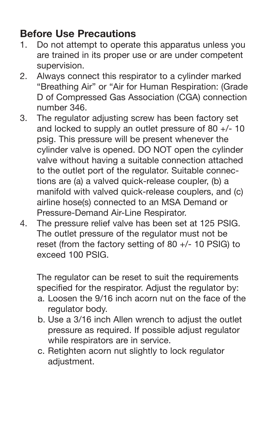### **Before Use Precautions**

- 1. Do not attempt to operate this apparatus unless you are trained in its proper use or are under competent supervision.
- 2. Always connect this respirator to a cylinder marked "Breathing Air" or "Air for Human Respiration: (Grade D of Compressed Gas Association (CGA) connection number 346.
- 3. The regulator adjusting screw has been factory set and locked to supply an outlet pressure of 80 +/- 10 psig. This pressure will be present whenever the cylinder valve is opened. DO NOT open the cylinder valve without having a suitable connection attached to the outlet port of the regulator. Suitable connections are (a) a valved quick-release coupler, (b) a manifold with valved quick-release couplers, and (c) airline hose(s) connected to an MSA Demand or Pressure-Demand Air-Line Respirator.
- 4. The pressure relief valve has been set at 125 PSIG. The outlet pressure of the regulator must not be reset (from the factory setting of 80 +/- 10 PSIG) to exceed 100 PSIG.

The regulator can be reset to suit the requirements specified for the respirator. Adjust the regulator by:

- a. Loosen the 9/16 inch acorn nut on the face of the regulator body.
- b. Use a 3/16 inch Allen wrench to adjust the outlet pressure as required. If possible adjust regulator while respirators are in service.
- c. Retighten acorn nut slightly to lock regulator adiustment.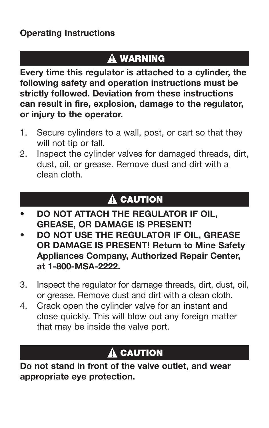#### **Operating Instructions**

# **A WARNING**

**Every time this regulator is attached to a cylinder, the following safety and operation instructions must be strictly followed. Deviation from these instructions can result in fire, explosion, damage to the regulator, or injury to the operator.**

- 1. Secure cylinders to a wall, post, or cart so that they will not tip or fall.
- 2. Inspect the cylinder valves for damaged threads, dirt, dust, oil, or grease. Remove dust and dirt with a clean cloth.

# A CAUTION

- **• DO NOT ATTACH THE REGULATOR IF OIL, GREASE, OR DAMAGE IS PRESENT!**
- **DO NOT USE THE REGULATOR IF OIL, GREASE OR DAMAGE IS PRESENT! Return to Mine Safety Appliances Company, Authorized Repair Center, at 1-800-MSA-2222.**
- 3. Inspect the regulator for damage threads, dirt, dust, oil, or grease. Remove dust and dirt with a clean cloth.
- 4. Crack open the cylinder valve for an instant and close quickly. This will blow out any foreign matter that may be inside the valve port.

# **A CAUTION**

**Do not stand in front of the valve outlet, and wear appropriate eye protection.**